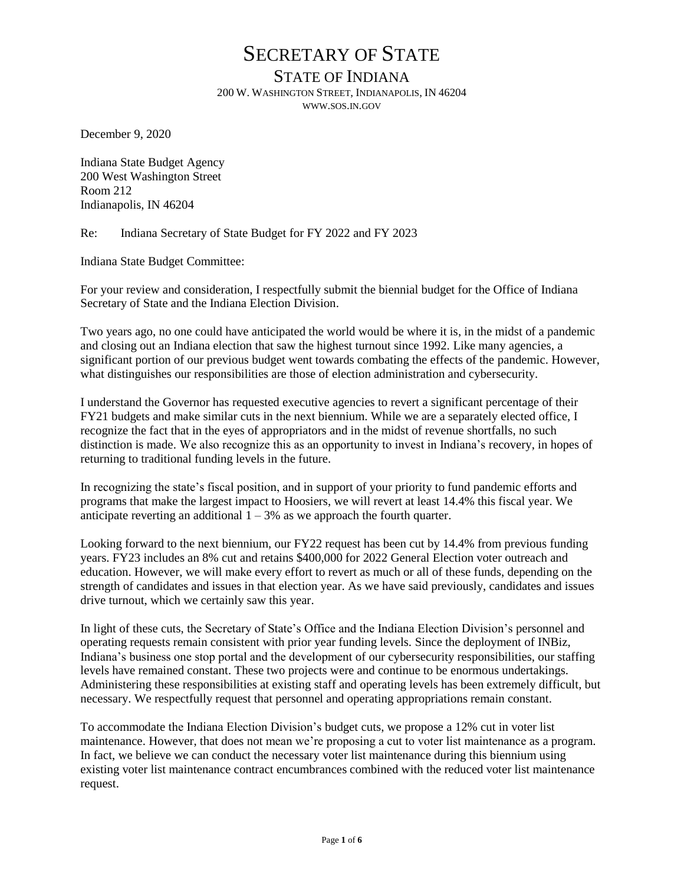### STATE OF INDIANA

200 W. WASHINGTON STREET, INDIANAPOLIS, IN 46204 WWW.SOS.IN.GOV

December 9, 2020

Indiana State Budget Agency 200 West Washington Street Room 212 Indianapolis, IN 46204

Re: Indiana Secretary of State Budget for FY 2022 and FY 2023

Indiana State Budget Committee:

For your review and consideration, I respectfully submit the biennial budget for the Office of Indiana Secretary of State and the Indiana Election Division.

Two years ago, no one could have anticipated the world would be where it is, in the midst of a pandemic and closing out an Indiana election that saw the highest turnout since 1992. Like many agencies, a significant portion of our previous budget went towards combating the effects of the pandemic. However, what distinguishes our responsibilities are those of election administration and cybersecurity.

I understand the Governor has requested executive agencies to revert a significant percentage of their FY21 budgets and make similar cuts in the next biennium. While we are a separately elected office, I recognize the fact that in the eyes of appropriators and in the midst of revenue shortfalls, no such distinction is made. We also recognize this as an opportunity to invest in Indiana's recovery, in hopes of returning to traditional funding levels in the future.

In recognizing the state's fiscal position, and in support of your priority to fund pandemic efforts and programs that make the largest impact to Hoosiers, we will revert at least 14.4% this fiscal year. We anticipate reverting an additional  $1 - 3%$  as we approach the fourth quarter.

Looking forward to the next biennium, our FY22 request has been cut by 14.4% from previous funding years. FY23 includes an 8% cut and retains \$400,000 for 2022 General Election voter outreach and education. However, we will make every effort to revert as much or all of these funds, depending on the strength of candidates and issues in that election year. As we have said previously, candidates and issues drive turnout, which we certainly saw this year.

In light of these cuts, the Secretary of State's Office and the Indiana Election Division's personnel and operating requests remain consistent with prior year funding levels. Since the deployment of INBiz, Indiana's business one stop portal and the development of our cybersecurity responsibilities, our staffing levels have remained constant. These two projects were and continue to be enormous undertakings. Administering these responsibilities at existing staff and operating levels has been extremely difficult, but necessary. We respectfully request that personnel and operating appropriations remain constant.

To accommodate the Indiana Election Division's budget cuts, we propose a 12% cut in voter list maintenance. However, that does not mean we're proposing a cut to voter list maintenance as a program. In fact, we believe we can conduct the necessary voter list maintenance during this biennium using existing voter list maintenance contract encumbrances combined with the reduced voter list maintenance request.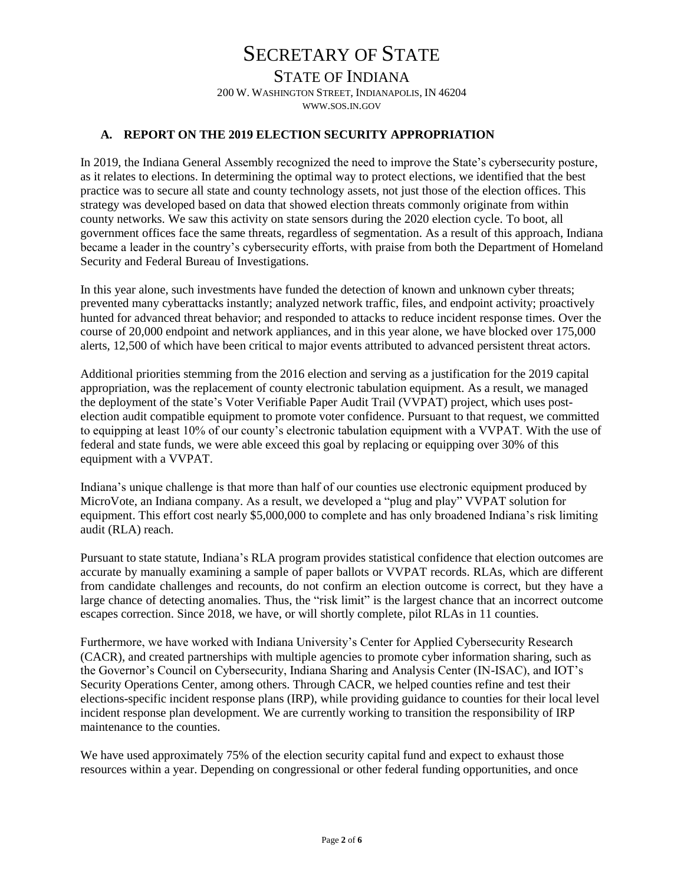STATE OF INDIANA 200 W. WASHINGTON STREET, INDIANAPOLIS, IN 46204 WWW.SOS.IN.GOV

#### **A. REPORT ON THE 2019 ELECTION SECURITY APPROPRIATION**

In 2019, the Indiana General Assembly recognized the need to improve the State's cybersecurity posture, as it relates to elections. In determining the optimal way to protect elections, we identified that the best practice was to secure all state and county technology assets, not just those of the election offices. This strategy was developed based on data that showed election threats commonly originate from within county networks. We saw this activity on state sensors during the 2020 election cycle. To boot, all government offices face the same threats, regardless of segmentation. As a result of this approach, Indiana became a leader in the country's cybersecurity efforts, with praise from both the Department of Homeland Security and Federal Bureau of Investigations.

In this year alone, such investments have funded the detection of known and unknown cyber threats; prevented many cyberattacks instantly; analyzed network traffic, files, and endpoint activity; proactively hunted for advanced threat behavior; and responded to attacks to reduce incident response times. Over the course of 20,000 endpoint and network appliances, and in this year alone, we have blocked over 175,000 alerts, 12,500 of which have been critical to major events attributed to advanced persistent threat actors.

Additional priorities stemming from the 2016 election and serving as a justification for the 2019 capital appropriation, was the replacement of county electronic tabulation equipment. As a result, we managed the deployment of the state's Voter Verifiable Paper Audit Trail (VVPAT) project, which uses postelection audit compatible equipment to promote voter confidence. Pursuant to that request, we committed to equipping at least 10% of our county's electronic tabulation equipment with a VVPAT. With the use of federal and state funds, we were able exceed this goal by replacing or equipping over 30% of this equipment with a VVPAT.

Indiana's unique challenge is that more than half of our counties use electronic equipment produced by MicroVote, an Indiana company. As a result, we developed a "plug and play" VVPAT solution for equipment. This effort cost nearly \$5,000,000 to complete and has only broadened Indiana's risk limiting audit (RLA) reach.

Pursuant to state statute, Indiana's RLA program provides statistical confidence that election outcomes are accurate by manually examining a sample of paper ballots or VVPAT records. RLAs, which are different from candidate challenges and recounts, do not confirm an election outcome is correct, but they have a large chance of detecting anomalies. Thus, the "risk limit" is the largest chance that an incorrect outcome escapes correction. Since 2018, we have, or will shortly complete, pilot RLAs in 11 counties.

Furthermore, we have worked with Indiana University's Center for Applied Cybersecurity Research (CACR), and created partnerships with multiple agencies to promote cyber information sharing, such as the Governor's Council on Cybersecurity, Indiana Sharing and Analysis Center (IN-ISAC), and IOT's Security Operations Center, among others. Through CACR, we helped counties refine and test their elections-specific incident response plans (IRP), while providing guidance to counties for their local level incident response plan development. We are currently working to transition the responsibility of IRP maintenance to the counties.

We have used approximately 75% of the election security capital fund and expect to exhaust those resources within a year. Depending on congressional or other federal funding opportunities, and once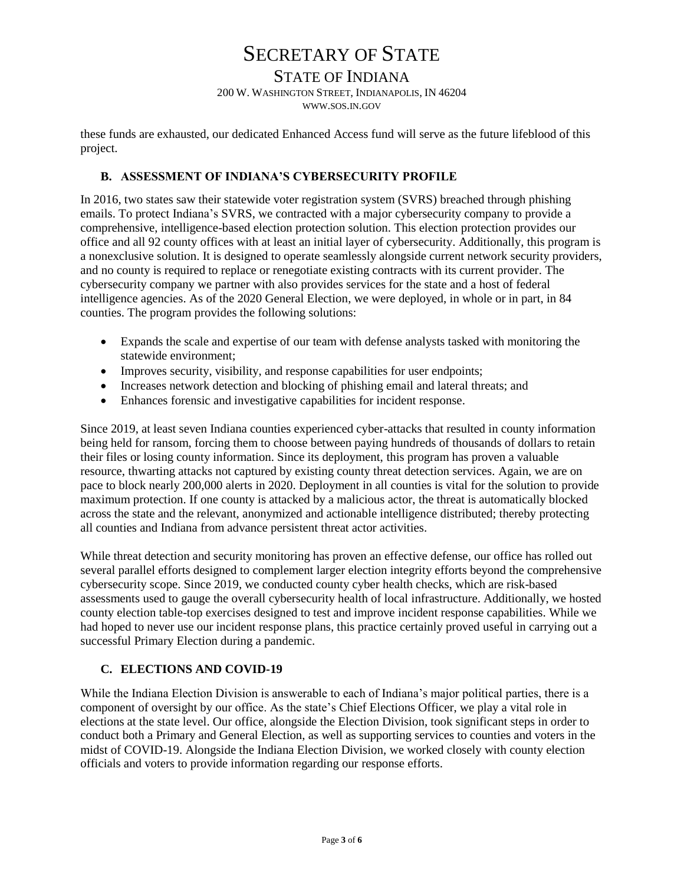## STATE OF INDIANA

200 W. WASHINGTON STREET, INDIANAPOLIS, IN 46204

WWW.SOS.IN.GOV

these funds are exhausted, our dedicated Enhanced Access fund will serve as the future lifeblood of this project.

### **B. ASSESSMENT OF INDIANA'S CYBERSECURITY PROFILE**

In 2016, two states saw their statewide voter registration system (SVRS) breached through phishing emails. To protect Indiana's SVRS, we contracted with a major cybersecurity company to provide a comprehensive, intelligence-based election protection solution. This election protection provides our office and all 92 county offices with at least an initial layer of cybersecurity. Additionally, this program is a nonexclusive solution. It is designed to operate seamlessly alongside current network security providers, and no county is required to replace or renegotiate existing contracts with its current provider. The cybersecurity company we partner with also provides services for the state and a host of federal intelligence agencies. As of the 2020 General Election, we were deployed, in whole or in part, in 84 counties. The program provides the following solutions:

- Expands the scale and expertise of our team with defense analysts tasked with monitoring the statewide environment;
- Improves security, visibility, and response capabilities for user endpoints;
- Increases network detection and blocking of phishing email and lateral threats; and
- Enhances forensic and investigative capabilities for incident response.

Since 2019, at least seven Indiana counties experienced cyber-attacks that resulted in county information being held for ransom, forcing them to choose between paying hundreds of thousands of dollars to retain their files or losing county information. Since its deployment, this program has proven a valuable resource, thwarting attacks not captured by existing county threat detection services. Again, we are on pace to block nearly 200,000 alerts in 2020. Deployment in all counties is vital for the solution to provide maximum protection. If one county is attacked by a malicious actor, the threat is automatically blocked across the state and the relevant, anonymized and actionable intelligence distributed; thereby protecting all counties and Indiana from advance persistent threat actor activities.

While threat detection and security monitoring has proven an effective defense, our office has rolled out several parallel efforts designed to complement larger election integrity efforts beyond the comprehensive cybersecurity scope. Since 2019, we conducted county cyber health checks, which are risk-based assessments used to gauge the overall cybersecurity health of local infrastructure. Additionally, we hosted county election table-top exercises designed to test and improve incident response capabilities. While we had hoped to never use our incident response plans, this practice certainly proved useful in carrying out a successful Primary Election during a pandemic.

### **C. ELECTIONS AND COVID-19**

While the Indiana Election Division is answerable to each of Indiana's major political parties, there is a component of oversight by our office. As the state's Chief Elections Officer, we play a vital role in elections at the state level. Our office, alongside the Election Division, took significant steps in order to conduct both a Primary and General Election, as well as supporting services to counties and voters in the midst of COVID-19. Alongside the Indiana Election Division, we worked closely with county election officials and voters to provide information regarding our response efforts.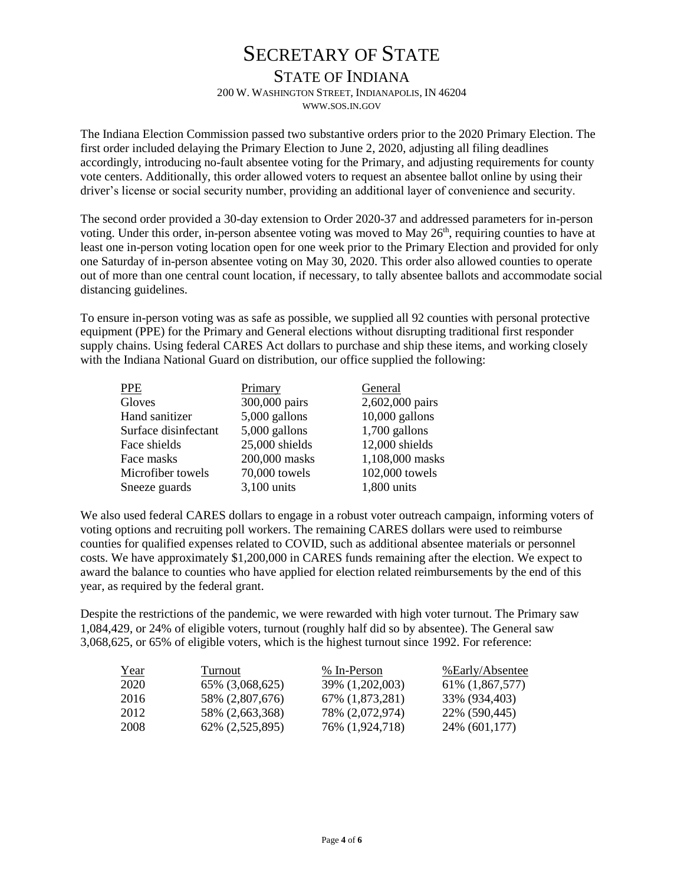## STATE OF INDIANA

200 W. WASHINGTON STREET, INDIANAPOLIS, IN 46204

WWW.SOS.IN.GOV

The Indiana Election Commission passed two substantive orders prior to the 2020 Primary Election. The first order included delaying the Primary Election to June 2, 2020, adjusting all filing deadlines accordingly, introducing no-fault absentee voting for the Primary, and adjusting requirements for county vote centers. Additionally, this order allowed voters to request an absentee ballot online by using their driver's license or social security number, providing an additional layer of convenience and security.

The second order provided a 30-day extension to Order 2020-37 and addressed parameters for in-person voting. Under this order, in-person absentee voting was moved to May  $26<sup>th</sup>$ , requiring counties to have at least one in-person voting location open for one week prior to the Primary Election and provided for only one Saturday of in-person absentee voting on May 30, 2020. This order also allowed counties to operate out of more than one central count location, if necessary, to tally absentee ballots and accommodate social distancing guidelines.

To ensure in-person voting was as safe as possible, we supplied all 92 counties with personal protective equipment (PPE) for the Primary and General elections without disrupting traditional first responder supply chains. Using federal CARES Act dollars to purchase and ship these items, and working closely with the Indiana National Guard on distribution, our office supplied the following:

| PPE                  | Primary         | General          |
|----------------------|-----------------|------------------|
| Gloves               | 300,000 pairs   | 2,602,000 pairs  |
| Hand sanitizer       | $5,000$ gallons | $10,000$ gallons |
| Surface disinfectant | $5,000$ gallons | $1,700$ gallons  |
| Face shields         | 25,000 shields  | 12,000 shields   |
| Face masks           | 200,000 masks   | 1,108,000 masks  |
| Microfiber towels    | 70,000 towels   | 102,000 towels   |
| Sneeze guards        | 3,100 units     | 1,800 units      |
|                      |                 |                  |

We also used federal CARES dollars to engage in a robust voter outreach campaign, informing voters of voting options and recruiting poll workers. The remaining CARES dollars were used to reimburse counties for qualified expenses related to COVID, such as additional absentee materials or personnel costs. We have approximately \$1,200,000 in CARES funds remaining after the election. We expect to award the balance to counties who have applied for election related reimbursements by the end of this year, as required by the federal grant.

Despite the restrictions of the pandemic, we were rewarded with high voter turnout. The Primary saw 1,084,429, or 24% of eligible voters, turnout (roughly half did so by absentee). The General saw 3,068,625, or 65% of eligible voters, which is the highest turnout since 1992. For reference:

| Year | Turnout          | % In-Person      | %Early/Absentee  |
|------|------------------|------------------|------------------|
| 2020 | 65\% (3,068,625) | 39% (1,202,003)  | 61\% (1,867,577) |
| 2016 | 58% (2,807,676)  | 67\% (1,873,281) | 33\% (934,403)   |
| 2012 | 58% (2,663,368)  | 78% (2,072,974)  | 22\% (590,445)   |
| 2008 | 62\% (2,525,895) | 76\% (1,924,718) | 24\% (601,177)   |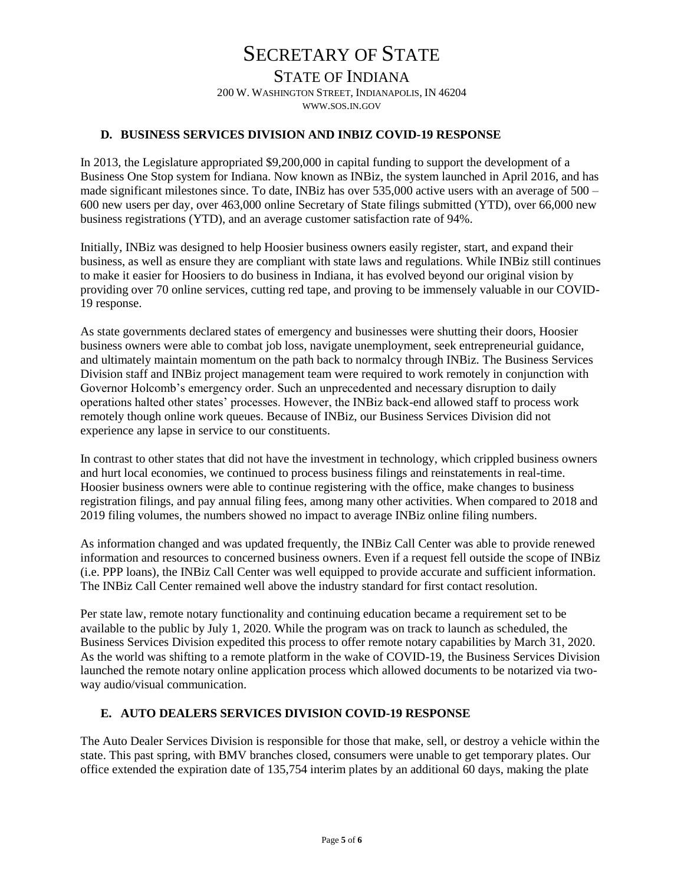STATE OF INDIANA 200 W. WASHINGTON STREET, INDIANAPOLIS, IN 46204 WWW.SOS.IN.GOV

#### **D. BUSINESS SERVICES DIVISION AND INBIZ COVID-19 RESPONSE**

In 2013, the Legislature appropriated \$9,200,000 in capital funding to support the development of a Business One Stop system for Indiana. Now known as INBiz, the system launched in April 2016, and has made significant milestones since. To date, INBiz has over 535,000 active users with an average of 500 – 600 new users per day, over 463,000 online Secretary of State filings submitted (YTD), over 66,000 new business registrations (YTD), and an average customer satisfaction rate of 94%.

Initially, INBiz was designed to help Hoosier business owners easily register, start, and expand their business, as well as ensure they are compliant with state laws and regulations. While INBiz still continues to make it easier for Hoosiers to do business in Indiana, it has evolved beyond our original vision by providing over 70 online services, cutting red tape, and proving to be immensely valuable in our COVID-19 response.

As state governments declared states of emergency and businesses were shutting their doors, Hoosier business owners were able to combat job loss, navigate unemployment, seek entrepreneurial guidance, and ultimately maintain momentum on the path back to normalcy through INBiz. The Business Services Division staff and INBiz project management team were required to work remotely in conjunction with Governor Holcomb's emergency order. Such an unprecedented and necessary disruption to daily operations halted other states' processes. However, the INBiz back-end allowed staff to process work remotely though online work queues. Because of INBiz, our Business Services Division did not experience any lapse in service to our constituents.

In contrast to other states that did not have the investment in technology, which crippled business owners and hurt local economies, we continued to process business filings and reinstatements in real-time. Hoosier business owners were able to continue registering with the office, make changes to business registration filings, and pay annual filing fees, among many other activities. When compared to 2018 and 2019 filing volumes, the numbers showed no impact to average INBiz online filing numbers.

As information changed and was updated frequently, the INBiz Call Center was able to provide renewed information and resources to concerned business owners. Even if a request fell outside the scope of INBiz (i.e. PPP loans), the INBiz Call Center was well equipped to provide accurate and sufficient information. The INBiz Call Center remained well above the industry standard for first contact resolution.

Per state law, remote notary functionality and continuing education became a requirement set to be available to the public by July 1, 2020. While the program was on track to launch as scheduled, the Business Services Division expedited this process to offer remote notary capabilities by March 31, 2020. As the world was shifting to a remote platform in the wake of COVID-19, the Business Services Division launched the remote notary online application process which allowed documents to be notarized via twoway audio/visual communication.

#### **E. AUTO DEALERS SERVICES DIVISION COVID-19 RESPONSE**

The Auto Dealer Services Division is responsible for those that make, sell, or destroy a vehicle within the state. This past spring, with BMV branches closed, consumers were unable to get temporary plates. Our office extended the expiration date of 135,754 interim plates by an additional 60 days, making the plate